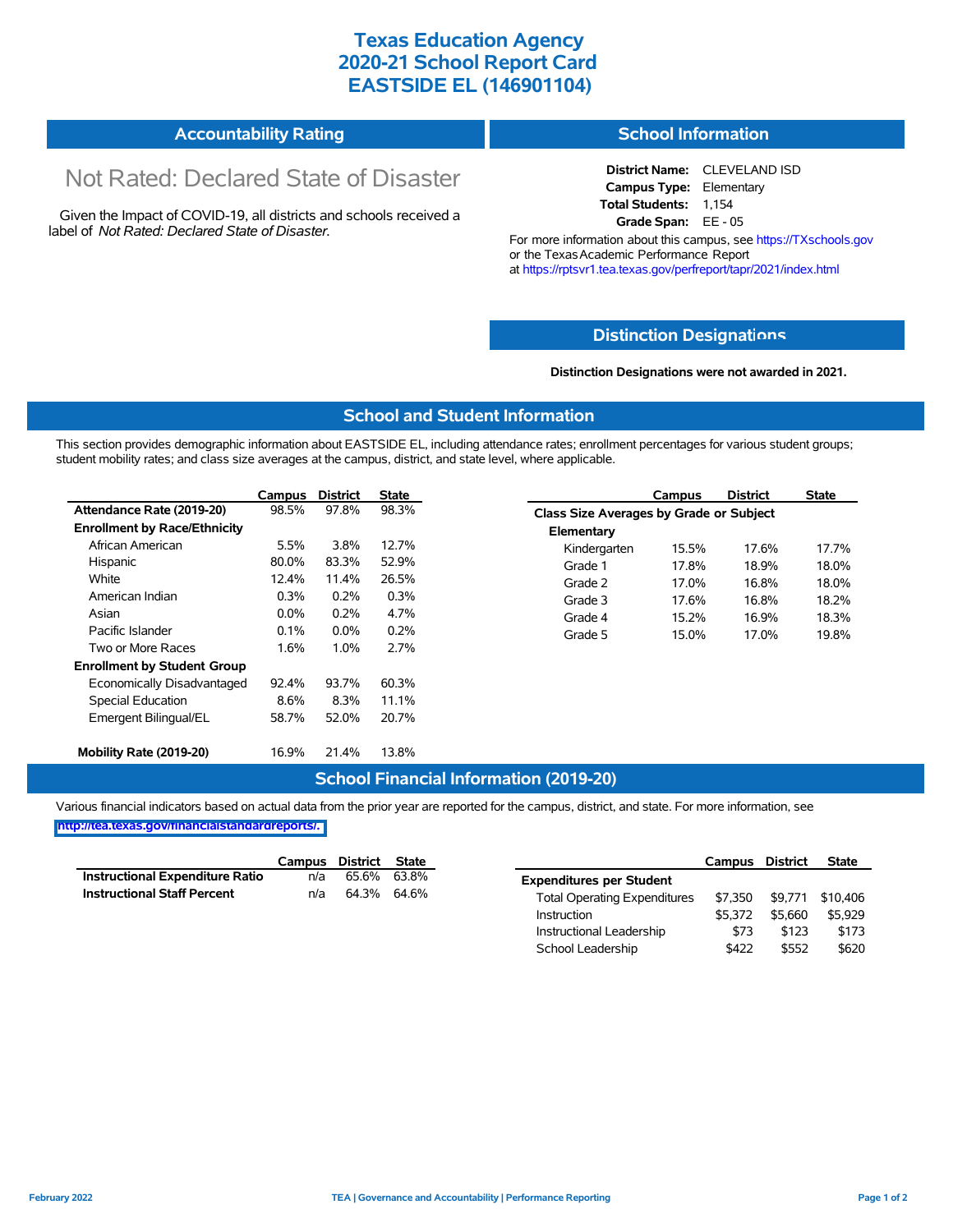## **Texas Education Agency 2020-21 School Report Card EASTSIDE EL (146901104)**

| <b>Accountability Rating</b> | <b>School Information</b> |
|------------------------------|---------------------------|
|                              |                           |

# Not Rated: Declared State of Disaster

Given the Impact of COVID-19, all districts and schools received a label of *Not Rated: Declared State of Disaster.*

**District Name:** CLEVELAND ISD **Campus Type:** Elementary **Total Students:** 1,154 **Grade Span:** EE - 05

For more information about this campus, see https://TXschools.gov or the Texas Academic Performance Report at https://rptsvr1.tea.texas.gov/perfreport/tapr/2021/index.html

### **Distinction Designat[ions](https://TXschools.gov)**

**Distinction Designations were not awarded in 2021.**

School Leadership  $$422$  \$552 \$620

#### **School and Student Information**

This section provides demographic information about EASTSIDE EL, including attendance rates; enrollment percentages for various student groups; student mobility rates; and class size averages at the campus, district, and state level, where applicable.

|                                     | Campus  | <b>District</b> | State |              | Campus                                  | <b>District</b> | <b>State</b> |  |  |
|-------------------------------------|---------|-----------------|-------|--------------|-----------------------------------------|-----------------|--------------|--|--|
| Attendance Rate (2019-20)           | 98.5%   | 97.8%           | 98.3% |              | Class Size Averages by Grade or Subject |                 |              |  |  |
| <b>Enrollment by Race/Ethnicity</b> |         |                 |       | Elementary   |                                         |                 |              |  |  |
| African American                    | 5.5%    | 3.8%            | 12.7% | Kindergarten | 15.5%                                   | 17.6%           | 17.7%        |  |  |
| Hispanic                            | 80.0%   | 83.3%           | 52.9% | Grade 1      | 17.8%                                   | 18.9%           | 18.0%        |  |  |
| White                               | 12.4%   | 11.4%           | 26.5% | Grade 2      | 17.0%                                   | 16.8%           | 18.0%        |  |  |
| American Indian                     | 0.3%    | 0.2%            | 0.3%  | Grade 3      | 17.6%                                   | 16.8%           | 18.2%        |  |  |
| Asian                               | $0.0\%$ | 0.2%            | 4.7%  | Grade 4      | 15.2%                                   | 16.9%           | 18.3%        |  |  |
| Pacific Islander                    | 0.1%    | $0.0\%$         | 0.2%  | Grade 5      | 15.0%                                   | 17.0%           | 19.8%        |  |  |
| Two or More Races                   | 1.6%    | 1.0%            | 2.7%  |              |                                         |                 |              |  |  |
| <b>Enrollment by Student Group</b>  |         |                 |       |              |                                         |                 |              |  |  |
| Economically Disadvantaged          | 92.4%   | 93.7%           | 60.3% |              |                                         |                 |              |  |  |
| Special Education                   | 8.6%    | 8.3%            | 11.1% |              |                                         |                 |              |  |  |
| Emergent Bilingual/EL               | 58.7%   | 52.0%           | 20.7% |              |                                         |                 |              |  |  |
|                                     |         |                 |       |              |                                         |                 |              |  |  |
| Mobility Rate (2019-20)             | 16.9%   | 21.4%           | 13.8% |              |                                         |                 |              |  |  |

#### **School Financial Information (2019-20)**

Various financial indicators based on actual data from the prior year are reported for the campus, district, and state. For more information, see

**[http://tea.texas.gov/financialstandardreports/.](http://tea.texas.gov/financialstandardreports/)**

|                                    | Campus | District State |       |                                     | Campus  | <b>District</b> | <b>State</b> |
|------------------------------------|--------|----------------|-------|-------------------------------------|---------|-----------------|--------------|
| Instructional Expenditure Ratio    | n/a    | 65.6%          | 63.8% | <b>Expenditures per Student</b>     |         |                 |              |
| <b>Instructional Staff Percent</b> | n/a    | 64.3% 64.6%    |       | <b>Total Operating Expenditures</b> | \$7.350 | \$9.771         | \$10.406     |
|                                    |        |                |       | Instruction                         | \$5.372 | \$5.660         | \$5.929      |
|                                    |        |                |       | Instructional Leadership            | \$73    | \$123           | \$173        |